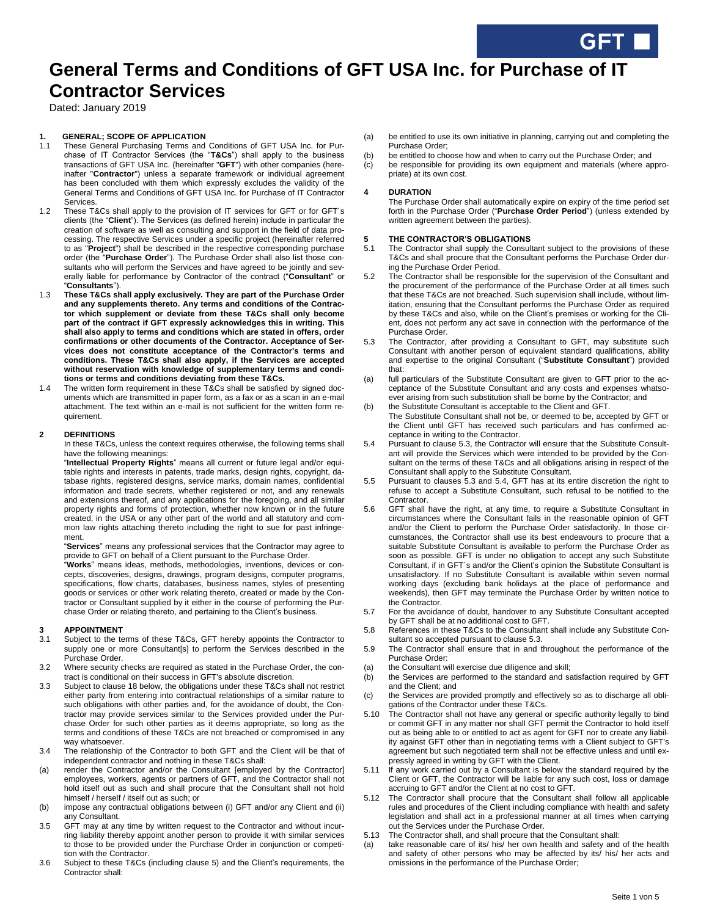# **General Terms and Conditions of GFT USA Inc. for Purchase of IT Contractor Services**

Dated: January 2019

### **1. GENERAL; SCOPE OF APPLICATION**

- 1.1 These General Purchasing Terms and Conditions of GFT USA Inc. for Purchase of IT Contractor Services (the "**T&Cs**") shall apply to the business transactions of GFT USA Inc. (hereinafter "**GFT**") with other companies (hereinafter "**Contractor**") unless a separate framework or individual agreement has been concluded with them which expressly excludes the validity of the General Terms and Conditions of GFT USA Inc. for Purchase of IT Contractor Services.
- 1.2 These T&Cs shall apply to the provision of IT services for GFT or for GFT´s clients (the "**Client**"). The Services (as defined herein) include in particular the creation of software as well as consulting and support in the field of data processing. The respective Services under a specific project (hereinafter referred to as "**Project**") shall be described in the respective corresponding purchase order (the "**Purchase Order**"). The Purchase Order shall also list those consultants who will perform the Services and have agreed to be jointly and severally liable for performance by Contractor of the contract ("**Consultant**" or "**Consultants**").
- 1.3 **These T&Cs shall apply exclusively. They are part of the Purchase Order and any supplements thereto. Any terms and conditions of the Contractor which supplement or deviate from these T&Cs shall only become part of the contract if GFT expressly acknowledges this in writing. This shall also apply to terms and conditions which are stated in offers, order confirmations or other documents of the Contractor. Acceptance of Services does not constitute acceptance of the Contractor's terms and conditions. These T&Cs shall also apply, if the Services are accepted without reservation with knowledge of supplementary terms and conditions or terms and conditions deviating from these T&Cs.**
- 1.4 The written form requirement in these T&Cs shall be satisfied by signed documents which are transmitted in paper form, as a fax or as a scan in an e-mail attachment. The text within an e-mail is not sufficient for the written form requirement.

### **2 DEFINITIONS**

In these T&Cs, unless the context requires otherwise, the following terms shall have the following meanings:

"**Intellectual Property Rights**" means all current or future legal and/or equitable rights and interests in patents, trade marks, design rights, copyright, database rights, registered designs, service marks, domain names, confidential information and trade secrets, whether registered or not, and any renewals and extensions thereof, and any applications for the foregoing, and all similar property rights and forms of protection, whether now known or in the future created, in the USA or any other part of the world and all statutory and common law rights attaching thereto including the right to sue for past infringement.

"**Services**" means any professional services that the Contractor may agree to provide to GFT on behalf of a Client pursuant to the Purchase Order.

"**Works**" means ideas, methods, methodologies, inventions, devices or concepts, discoveries, designs, drawings, program designs, computer programs, specifications, flow charts, databases, business names, styles of presenting goods or services or other work relating thereto, created or made by the Contractor or Consultant supplied by it either in the course of performing the Purchase Order or relating thereto, and pertaining to the Client's business.

#### **3 APPOINTMENT**

- 3.1 Subject to the terms of these T&Cs, GFT hereby appoints the Contractor to supply one or more Consultant[s] to perform the Services described in the Purchase Order.
- 3.2 Where security checks are required as stated in the Purchase Order, the contract is conditional on their success in GFT's absolute discretion.
- 3.3 Subject to clause 18 below, the obligations under these T&Cs shall not restrict either party from entering into contractual relationships of a similar nature to such obligations with other parties and, for the avoidance of doubt, the Contractor may provide services similar to the Services provided under the Purchase Order for such other parties as it deems appropriate, so long as the terms and conditions of these T&Cs are not breached or compromised in any way whatsoever.
- 3.4 The relationship of the Contractor to both GFT and the Client will be that of independent contractor and nothing in these T&Cs shall:
- (a) render the Contractor and/or the Consultant [employed by the Contractor] employees, workers, agents or partners of GFT, and the Contractor shall not hold itself out as such and shall procure that the Consultant shall not hold himself / herself / itself out as such; or
- (b) impose any contractual obligations between (i) GFT and/or any Client and (ii) any Consultant.
- 3.5 GFT may at any time by written request to the Contractor and without incurring liability thereby appoint another person to provide it with similar services to those to be provided under the Purchase Order in conjunction or competition with the Contractor.
- 3.6 Subject to these T&Cs (including clause 5) and the Client's requirements, the Contractor shall:
- (a) be entitled to use its own initiative in planning, carrying out and completing the Purchase Order;
- (b) be entitled to choose how and when to carry out the Purchase Order; and (c) be responsible for providing its own equipment and materials (where ap
- be responsible for providing its own equipment and materials (where appropriate) at its own cost.

### **4 DURATION**

The Purchase Order shall automatically expire on expiry of the time period set forth in the Purchase Order ("**Purchase Order Period**") (unless extended by written agreement between the parties).

### **5 THE CONTRACTOR'S OBLIGATIONS**

- 5.1 The Contractor shall supply the Consultant subject to the provisions of these T&Cs and shall procure that the Consultant performs the Purchase Order during the Purchase Order Period.
- 5.2 The Contractor shall be responsible for the supervision of the Consultant and the procurement of the performance of the Purchase Order at all times such that these T&Cs are not breached. Such supervision shall include, without limitation, ensuring that the Consultant performs the Purchase Order as required by these T&Cs and also, while on the Client's premises or working for the Client, does not perform any act save in connection with the performance of the Purchase Order.
- 5.3 The Contractor, after providing a Consultant to GFT, may substitute such Consultant with another person of equivalent standard qualifications, ability and expertise to the original Consultant ("**Substitute Consultant**") provided that:
- (a) full particulars of the Substitute Consultant are given to GFT prior to the acceptance of the Substitute Consultant and any costs and expenses whatsoever arising from such substitution shall be borne by the Contractor; and
- (b) the Substitute Consultant is acceptable to the Client and GFT. The Substitute Consultant shall not be, or deemed to be, accepted by GFT or the Client until GFT has received such particulars and has confirmed acceptance in writing to the Contractor.
- 5.4 Pursuant to clause 5.3, the Contractor will ensure that the Substitute Consultant will provide the Services which were intended to be provided by the Consultant on the terms of these T&Cs and all obligations arising in respect of the Consultant shall apply to the Substitute Consultant.
- 5.5 Pursuant to clauses 5.3 and 5.4, GFT has at its entire discretion the right to refuse to accept a Substitute Consultant, such refusal to be notified to the Contractor.
- 5.6 GFT shall have the right, at any time, to require a Substitute Consultant in circumstances where the Consultant fails in the reasonable opinion of GFT and/or the Client to perform the Purchase Order satisfactorily. In those circumstances, the Contractor shall use its best endeavours to procure that a suitable Substitute Consultant is available to perform the Purchase Order as soon as possible. GFT is under no obligation to accept any such Substitute Consultant, if in GFT´s and/or the Client's opinion the Substitute Consultant is unsatisfactory. If no Substitute Consultant is available within seven normal working days (excluding bank holidays at the place of performance and weekends), then GFT may terminate the Purchase Order by written notice to the Contractor.
- 5.7 For the avoidance of doubt, handover to any Substitute Consultant accepted by GFT shall be at no additional cost to GFT.
- 5.8 References in these T&Cs to the Consultant shall include any Substitute Consultant so accepted pursuant to clause 5.3.
- 5.9 The Contractor shall ensure that in and throughout the performance of the Purchase Order:
- (a) the Consultant will exercise due diligence and skill;
- (b) the Services are performed to the standard and satisfaction required by GFT and the Client; and
- (c) the Services are provided promptly and effectively so as to discharge all obligations of the Contractor under these T&Cs.
- 5.10 The Contractor shall not have any general or specific authority legally to bind or commit GFT in any matter nor shall GFT permit the Contractor to hold itself out as being able to or entitled to act as agent for GFT nor to create any liability against GFT other than in negotiating terms with a Client subject to GFT's agreement but such negotiated term shall not be effective unless and until expressly agreed in writing by GFT with the Client.
- 5.11 If any work carried out by a Consultant is below the standard required by the Client or GFT, the Contractor will be liable for any such cost, loss or damage accruing to GFT and/or the Client at no cost to GFT.
- 5.12 The Contractor shall procure that the Consultant shall follow all applicable rules and procedures of the Client including compliance with health and safety legislation and shall act in a professional manner at all times when carrying out the Services under the Purchase Order.
- 5.13 The Contractor shall, and shall procure that the Consultant shall:
- (a) take reasonable care of its/ his/ her own health and safety and of the health and safety of other persons who may be affected by its/ his/ her acts and omissions in the performance of the Purchase Order;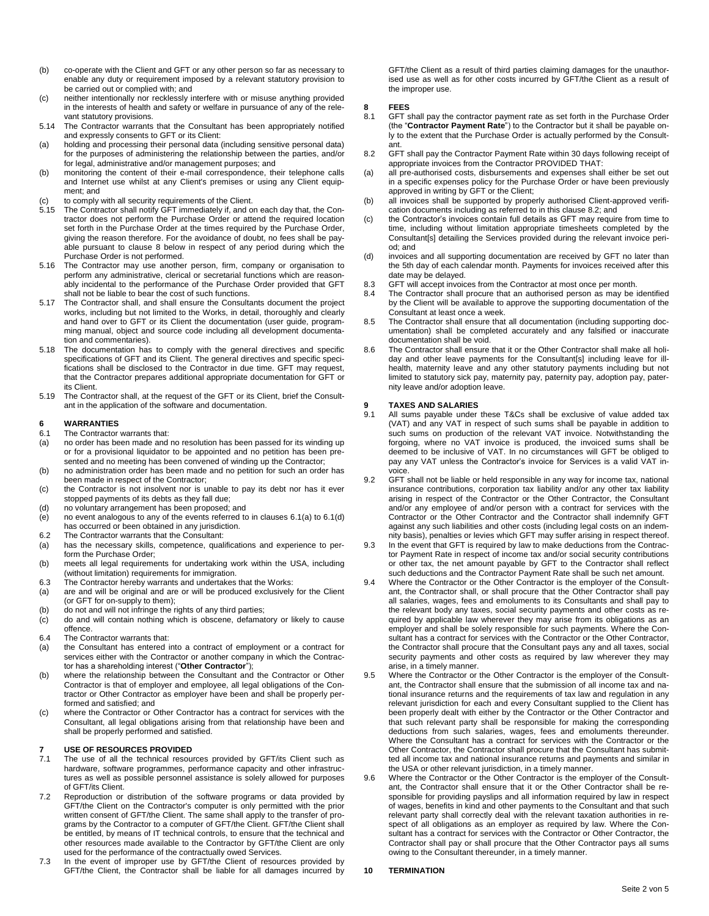- (b) co-operate with the Client and GFT or any other person so far as necessary to enable any duty or requirement imposed by a relevant statutory provision to be carried out or complied with; and
- (c) neither intentionally nor recklessly interfere with or misuse anything provided in the interests of health and safety or welfare in pursuance of any of the relevant statutory provisions.
- 5.14 The Contractor warrants that the Consultant has been appropriately notified and expressly consents to GFT or its Client:
- (a) holding and processing their personal data (including sensitive personal data) for the purposes of administering the relationship between the parties, and/or for legal, administrative and/or management purposes; and
- (b) monitoring the content of their e-mail correspondence, their telephone calls and Internet use whilst at any Client's premises or using any Client equipment; and
- (c) to comply with all security requirements of the Client.<br>5.15 The Contractor shall notify GFT immediately if, and or
- The Contractor shall notify GFT immediately if, and on each day that, the Contractor does not perform the Purchase Order or attend the required location set forth in the Purchase Order at the times required by the Purchase Order, giving the reason therefore. For the avoidance of doubt, no fees shall be payable pursuant to clause 8 below in respect of any period during which the Purchase Order is not performed.
- 5.16 The Contractor may use another person, firm, company or organisation to perform any administrative, clerical or secretarial functions which are reasonably incidental to the performance of the Purchase Order provided that GFT shall not be liable to bear the cost of such functions.
- 5.17 The Contractor shall, and shall ensure the Consultants document the project works, including but not limited to the Works, in detail, thoroughly and clearly and hand over to GFT or its Client the documentation (user guide, programming manual, object and source code including all development documentation and commentaries).
- 5.18 The documentation has to comply with the general directives and specific specifications of GFT and its Client. The general directives and specific specifications shall be disclosed to the Contractor in due time. GFT may request, that the Contractor prepares additional appropriate documentation for GFT or its Client.
- 5.19 The Contractor shall, at the request of the GFT or its Client, brief the Consultant in the application of the software and documentation.

#### **6 WARRANTIES**

- 6.1 The Contractor warrants that:
- (a) no order has been made and no resolution has been passed for its winding up or for a provisional liquidator to be appointed and no petition has been presented and no meeting has been convened of winding up the Contractor;
- (b) no administration order has been made and no petition for such an order has been made in respect of the Contractor;
- (c) the Contractor is not insolvent nor is unable to pay its debt nor has it ever stopped payments of its debts as they fall due;
- (d) no voluntary arrangement has been proposed; and
- $\overrightarrow{e}$  no event analogous to any of the events referred to in clauses 6.1(a) to 6.1(d) has occurred or been obtained in any jurisdiction.
- 6.2 The Contractor warrants that the Consultant:
- (a) has the necessary skills, competence, qualifications and experience to perform the Purchase Order;
- (b) meets all legal requirements for undertaking work within the USA, including (without limitation) requirements for immigration.
- 6.3 The Contractor hereby warrants and undertakes that the Works:
- (a) are and will be original and are or will be produced exclusively for the Client (or GFT for on-supply to them);
- (b) do not and will not infringe the rights of any third parties;
- (c) do and will contain nothing which is obscene, defamatory or likely to cause offence.
- 6.4 The Contractor warrants that:
- (a) the Consultant has entered into a contract of employment or a contract for services either with the Contractor or another company in which the Contractor has a shareholding interest ("**Other Contractor**");
- (b) where the relationship between the Consultant and the Contractor or Other Contractor is that of employer and employee, all legal obligations of the Contractor or Other Contractor as employer have been and shall be properly performed and satisfied; and
- (c) where the Contractor or Other Contractor has a contract for services with the Consultant, all legal obligations arising from that relationship have been and shall be properly performed and satisfied.

### **7 USE OF RESOURCES PROVIDED**

- 7.1 The use of all the technical resources provided by GFT/its Client such as hardware, software programmes, performance capacity and other infrastructures as well as possible personnel assistance is solely allowed for purposes of GFT/its Client.
- 7.2 Reproduction or distribution of the software programs or data provided by GFT/the Client on the Contractor's computer is only permitted with the prior written consent of GFT/the Client. The same shall apply to the transfer of programs by the Contractor to a computer of GFT/the Client. GFT/the Client shall be entitled, by means of IT technical controls, to ensure that the technical and other resources made available to the Contractor by GFT/the Client are only used for the performance of the contractually owed Services.
- 7.3 In the event of improper use by GFT/the Client of resources provided by GFT/the Client, the Contractor shall be liable for all damages incurred by

GFT/the Client as a result of third parties claiming damages for the unauthorised use as well as for other costs incurred by GFT/the Client as a result of the improper use.

# **8 FEES**

- GFT shall pay the contractor payment rate as set forth in the Purchase Order (the "**Contractor Payment Rate**") to the Contractor but it shall be payable only to the extent that the Purchase Order is actually performed by the Consultant.
- 8.2 GFT shall pay the Contractor Payment Rate within 30 days following receipt of appropriate invoices from the Contractor PROVIDED THAT:
- (a) all pre-authorised costs, disbursements and expenses shall either be set out in a specific expenses policy for the Purchase Order or have been previously approved in writing by GFT or the Client;
- (b) all invoices shall be supported by properly authorised Client-approved verification documents including as referred to in this clause 8.2; and
- (c) the Contractor's invoices contain full details as GFT may require from time to time, including without limitation appropriate timesheets completed by the Consultant[s] detailing the Services provided during the relevant invoice period; and
- (d) invoices and all supporting documentation are received by GFT no later than the 5th day of each calendar month. Payments for invoices received after this date may be delayed.
- 8.3 GFT will accept invoices from the Contractor at most once per month.
- 8.4 The Contractor shall procure that an authorised person as may be identified by the Client will be available to approve the supporting documentation of the Consultant at least once a week.
- 8.5 The Contractor shall ensure that all documentation (including supporting documentation) shall be completed accurately and any falsified or inaccurate documentation shall be void.
- 8.6 The Contractor shall ensure that it or the Other Contractor shall make all holiday and other leave payments for the Consultant[s] including leave for illhealth, maternity leave and any other statutory payments including but not limited to statutory sick pay, maternity pay, paternity pay, adoption pay, paternity leave and/or adoption leave.

## **9 TAXES AND SALARIES**

- All sums payable under these T&Cs shall be exclusive of value added tax (VAT) and any VAT in respect of such sums shall be payable in addition to such sums on production of the relevant VAT invoice. Notwithstanding the forgoing, where no VAT invoice is produced, the invoiced sums shall be deemed to be inclusive of VAT. In no circumstances will GFT be obliged to pay any VAT unless the Contractor's invoice for Services is a valid VAT invoice.
- 9.2 GFT shall not be liable or held responsible in any way for income tax, national insurance contributions, corporation tax liability and/or any other tax liability arising in respect of the Contractor or the Other Contractor, the Consultant and/or any employee of and/or person with a contract for services with the Contractor or the Other Contractor and the Contractor shall indemnify GFT against any such liabilities and other costs (including legal costs on an indemnity basis), penalties or levies which GFT may suffer arising in respect thereof.
- 9.3 In the event that GFT is required by law to make deductions from the Contractor Payment Rate in respect of income tax and/or social security contributions or other tax, the net amount payable by GFT to the Contractor shall reflect such deductions and the Contractor Payment Rate shall be such net amount.
- 9.4 Where the Contractor or the Other Contractor is the employer of the Consultant, the Contractor shall, or shall procure that the Other Contractor shall pay all salaries, wages, fees and emoluments to its Consultants and shall pay to the relevant body any taxes, social security payments and other costs as required by applicable law wherever they may arise from its obligations as an employer and shall be solely responsible for such payments. Where the Consultant has a contract for services with the Contractor or the Other Contractor, the Contractor shall procure that the Consultant pays any and all taxes, social security payments and other costs as required by law wherever they may arise, in a timely manner.
- 9.5 Where the Contractor or the Other Contractor is the employer of the Consultant, the Contractor shall ensure that the submission of all income tax and national insurance returns and the requirements of tax law and regulation in any relevant jurisdiction for each and every Consultant supplied to the Client has been properly dealt with either by the Contractor or the Other Contractor and that such relevant party shall be responsible for making the corresponding deductions from such salaries, wages, fees and emoluments thereunder. Where the Consultant has a contract for services with the Contractor or the Other Contractor, the Contractor shall procure that the Consultant has submitted all income tax and national insurance returns and payments and similar in the USA or other relevant jurisdiction, in a timely manner.
- 9.6 Where the Contractor or the Other Contractor is the employer of the Consultant, the Contractor shall ensure that it or the Other Contractor shall be responsible for providing payslips and all information required by law in respect of wages, benefits in kind and other payments to the Consultant and that such relevant party shall correctly deal with the relevant taxation authorities in respect of all obligations as an employer as required by law. Where the Consultant has a contract for services with the Contractor or Other Contractor, the Contractor shall pay or shall procure that the Other Contractor pays all sums owing to the Consultant thereunder, in a timely manner.

### **10 TERMINATION**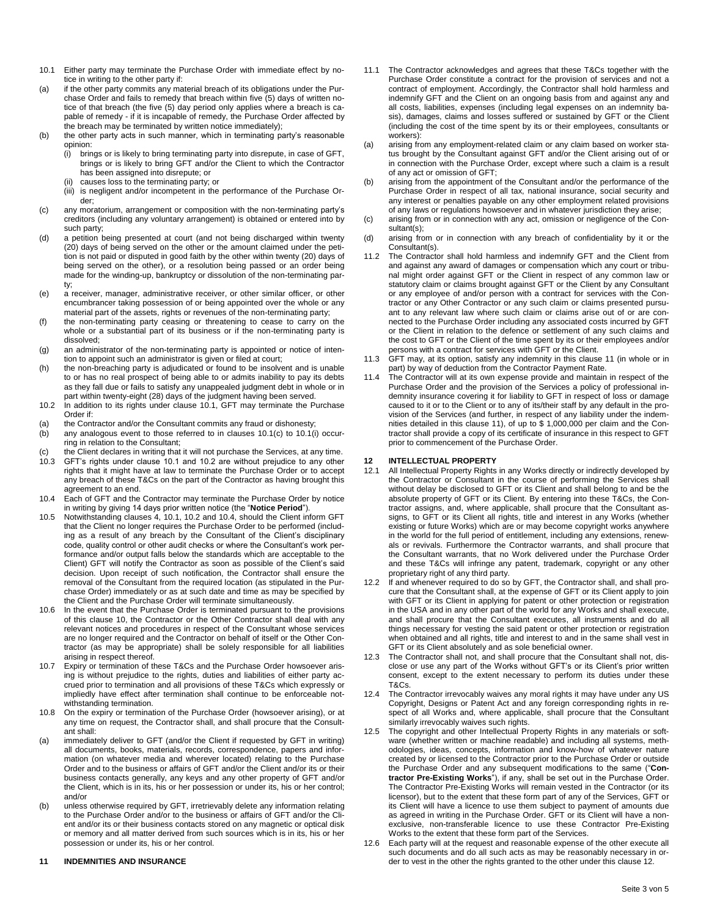- 10.1 Either party may terminate the Purchase Order with immediate effect by notice in writing to the other party if:
- (a) if the other party commits any material breach of its obligations under the Purchase Order and fails to remedy that breach within five (5) days of written notice of that breach (the five (5) day period only applies where a breach is capable of remedy - if it is incapable of remedy, the Purchase Order affected by the breach may be terminated by written notice immediately);
- (b) the other party acts in such manner, which in terminating party's reasonable opinion:
	- (i) brings or is likely to bring terminating party into disrepute, in case of GFT, brings or is likely to bring GFT and/or the Client to which the Contractor has been assigned into disrepute; or
	- causes loss to the terminating party; or
	- (iii) is negligent and/or incompetent in the performance of the Purchase Order;
- (c) any moratorium, arrangement or composition with the non-terminating party's creditors (including any voluntary arrangement) is obtained or entered into by such party;
- (d) a petition being presented at court (and not being discharged within twenty (20) days of being served on the other or the amount claimed under the petition is not paid or disputed in good faith by the other within twenty (20) days of being served on the other), or a resolution being passed or an order being made for the winding-up, bankruptcy or dissolution of the non-terminating party;
- (e) a receiver, manager, administrative receiver, or other similar officer, or other encumbrancer taking possession of or being appointed over the whole or any material part of the assets, rights or revenues of the non-terminating party;
- (f) the non-terminating party ceasing or threatening to cease to carry on the whole or a substantial part of its business or if the non-terminating party is dissolved;
- (g) an administrator of the non-terminating party is appointed or notice of intention to appoint such an administrator is given or filed at court;
- (h) the non-breaching party is adjudicated or found to be insolvent and is unable to or has no real prospect of being able to or admits inability to pay its debts as they fall due or fails to satisfy any unappealed judgment debt in whole or in part within twenty-eight (28) days of the judgment having been served.
- 10.2 In addition to its rights under clause 10.1, GFT may terminate the Purchase Order if:
- (a) the Contractor and/or the Consultant commits any fraud or dishonesty;
- (b) any analogous event to those referred to in clauses 10.1(c) to 10.1(i) occurring in relation to the Consultant;
- (c) the Client declares in writing that it will not purchase the Services, at any time.<br>10.3 GFT's rights under clause 10.1 and 10.2 are without prejudice to any other GFT's rights under clause 10.1 and 10.2 are without prejudice to any other rights that it might have at law to terminate the Purchase Order or to accept any breach of these T&Cs on the part of the Contractor as having brought this agreement to an end.
- 10.4 Each of GFT and the Contractor may terminate the Purchase Order by notice in writing by giving 14 days prior written notice (the "**Notice Period**").
- 10.5 Notwithstanding clauses 4, 10.1, 10.2 and 10.4, should the Client inform GFT that the Client no longer requires the Purchase Order to be performed (including as a result of any breach by the Consultant of the Client's disciplinary code, quality control or other audit checks or where the Consultant's work performance and/or output falls below the standards which are acceptable to the Client) GFT will notify the Contractor as soon as possible of the Client's said decision. Upon receipt of such notification, the Contractor shall ensure the removal of the Consultant from the required location (as stipulated in the Purchase Order) immediately or as at such date and time as may be specified by the Client and the Purchase Order will terminate simultaneously.
- 10.6 In the event that the Purchase Order is terminated pursuant to the provisions of this clause 10, the Contractor or the Other Contractor shall deal with any relevant notices and procedures in respect of the Consultant whose services are no longer required and the Contractor on behalf of itself or the Other Contractor (as may be appropriate) shall be solely responsible for all liabilities arising in respect thereof.
- 10.7 Expiry or termination of these T&Cs and the Purchase Order howsoever arising is without prejudice to the rights, duties and liabilities of either party accrued prior to termination and all provisions of these T&Cs which expressly or impliedly have effect after termination shall continue to be enforceable notwithstanding termination.
- 10.8 On the expiry or termination of the Purchase Order (howsoever arising), or at any time on request, the Contractor shall, and shall procure that the Consultant shall:
- (a) immediately deliver to GFT (and/or the Client if requested by GFT in writing) all documents, books, materials, records, correspondence, papers and information (on whatever media and wherever located) relating to the Purchase Order and to the business or affairs of GFT and/or the Client and/or its or their business contacts generally, any keys and any other property of GFT and/or the Client, which is in its, his or her possession or under its, his or her control; and/or
- (b) unless otherwise required by GFT, irretrievably delete any information relating to the Purchase Order and/or to the business or affairs of GFT and/or the Client and/or its or their business contacts stored on any magnetic or optical disk or memory and all matter derived from such sources which is in its, his or her possession or under its, his or her control.

### **11 INDEMNITIES AND INSURANCE**

- 11.1 The Contractor acknowledges and agrees that these T&Cs together with the Purchase Order constitute a contract for the provision of services and not a contract of employment. Accordingly, the Contractor shall hold harmless and indemnify GFT and the Client on an ongoing basis from and against any and all costs, liabilities, expenses (including legal expenses on an indemnity basis), damages, claims and losses suffered or sustained by GFT or the Client (including the cost of the time spent by its or their employees, consultants or workers):
- (a) arising from any employment-related claim or any claim based on worker status brought by the Consultant against GFT and/or the Client arising out of or in connection with the Purchase Order, except where such a claim is a result of any act or omission of GFT;
- (b) arising from the appointment of the Consultant and/or the performance of the Purchase Order in respect of all tax, national insurance, social security and any interest or penalties payable on any other employment related provisions of any laws or regulations howsoever and in whatever jurisdiction they arise;
- (c) arising from or in connection with any act, omission or negligence of the Consultant(s);
- (d) arising from or in connection with any breach of confidentiality by it or the Consultant(s).
- 11.2 The Contractor shall hold harmless and indemnify GFT and the Client from and against any award of damages or compensation which any court or tribunal might order against GFT or the Client in respect of any common law or statutory claim or claims brought against GFT or the Client by any Consultant or any employee of and/or person with a contract for services with the Contractor or any Other Contractor or any such claim or claims presented pursuant to any relevant law where such claim or claims arise out of or are connected to the Purchase Order including any associated costs incurred by GFT or the Client in relation to the defence or settlement of any such claims and the cost to GFT or the Client of the time spent by its or their employees and/or persons with a contract for services with GFT or the Client.
- 11.3 GFT may, at its option, satisfy any indemnity in this clause 11 (in whole or in part) by way of deduction from the Contractor Payment Rate.
- 11.4 The Contractor will at its own expense provide and maintain in respect of the Purchase Order and the provision of the Services a policy of professional indemnity insurance covering it for liability to GFT in respect of loss or damage caused to it or to the Client or to any of its/their staff by any default in the provision of the Services (and further, in respect of any liability under the indemnities detailed in this clause 11), of up to \$ 1,000,000 per claim and the Contractor shall provide a copy of its certificate of insurance in this respect to GFT prior to commencement of the Purchase Order.

### **12 INTELLECTUAL PROPERTY**

- All Intellectual Property Rights in any Works directly or indirectly developed by the Contractor or Consultant in the course of performing the Services shall without delay be disclosed to GFT or its Client and shall belong to and be the absolute property of GFT or its Client. By entering into these T&Cs, the Contractor assigns, and, where applicable, shall procure that the Consultant assigns, to GFT or its Client all rights, title and interest in any Works (whether existing or future Works) which are or may become copyright works anywhere in the world for the full period of entitlement, including any extensions, renewals or revivals. Furthermore the Contractor warrants, and shall procure that the Consultant warrants, that no Work delivered under the Purchase Order and these T&Cs will infringe any patent, trademark, copyright or any other proprietary right of any third party.
- 12.2 If and whenever required to do so by GFT, the Contractor shall, and shall procure that the Consultant shall, at the expense of GFT or its Client apply to join with GFT or its Client in applying for patent or other protection or registration in the USA and in any other part of the world for any Works and shall execute, and shall procure that the Consultant executes, all instruments and do all things necessary for vesting the said patent or other protection or registration when obtained and all rights, title and interest to and in the same shall vest in GFT or its Client absolutely and as sole beneficial owner.
- 12.3 The Contractor shall not, and shall procure that the Consultant shall not, disclose or use any part of the Works without GFT's or its Client's prior written consent, except to the extent necessary to perform its duties under these T&Cs.
- 12.4 The Contractor irrevocably waives any moral rights it may have under any US Copyright, Designs or Patent Act and any foreign corresponding rights in respect of all Works and, where applicable, shall procure that the Consultant similarly irrevocably waives such rights.
- 12.5 The copyright and other Intellectual Property Rights in any materials or software (whether written or machine readable) and including all systems, methodologies, ideas, concepts, information and know-how of whatever nature created by or licensed to the Contractor prior to the Purchase Order or outside the Purchase Order and any subsequent modifications to the same ("**Contractor Pre-Existing Works**"), if any, shall be set out in the Purchase Order. The Contractor Pre-Existing Works will remain vested in the Contractor (or its licensor), but to the extent that these form part of any of the Services, GFT or its Client will have a licence to use them subject to payment of amounts due as agreed in writing in the Purchase Order. GFT or its Client will have a nonexclusive, non-transferable licence to use these Contractor Pre-Existing Works to the extent that these form part of the Services.
- 12.6 Each party will at the request and reasonable expense of the other execute all such documents and do all such acts as may be reasonably necessary in order to vest in the other the rights granted to the other under this clause 12.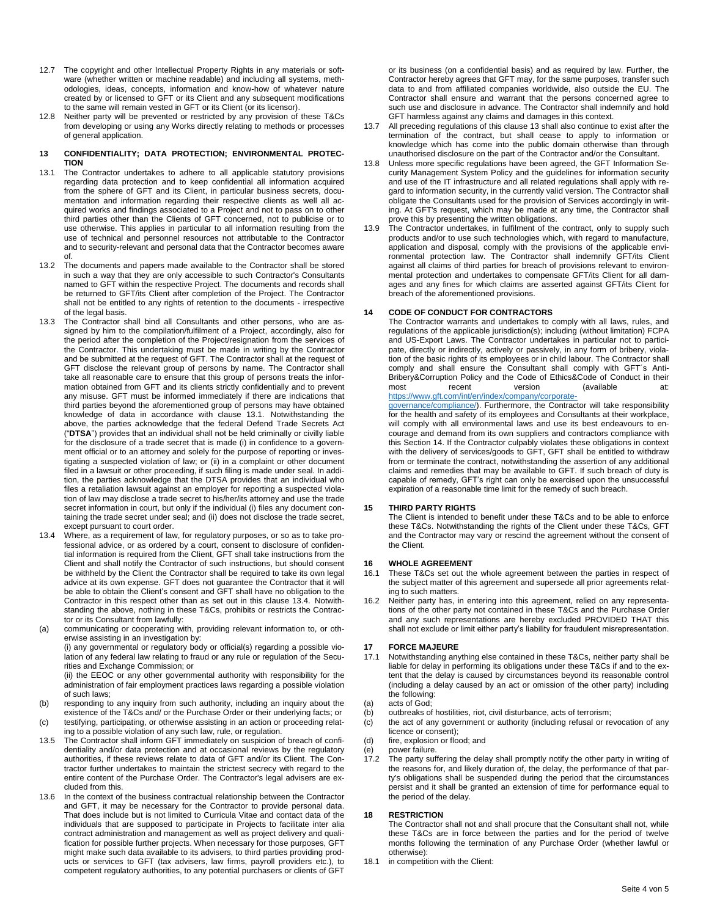- 12.7 The copyright and other Intellectual Property Rights in any materials or software (whether written or machine readable) and including all systems, methodologies, ideas, concepts, information and know-how of whatever nature created by or licensed to GFT or its Client and any subsequent modifications to the same will remain vested in GFT or its Client (or its licensor).
- 12.8 Neither party will be prevented or restricted by any provision of these T&Cs from developing or using any Works directly relating to methods or processes of general application.

#### **13 CONFIDENTIALITY; DATA PROTECTION; ENVIRONMENTAL PROTEC-TION**

- 13.1 The Contractor undertakes to adhere to all applicable statutory provisions regarding data protection and to keep confidential all information acquired from the sphere of GFT and its Client, in particular business secrets, documentation and information regarding their respective clients as well all acquired works and findings associated to a Project and not to pass on to other third parties other than the Clients of GFT concerned, not to publicise or to use otherwise. This applies in particular to all information resulting from the use of technical and personnel resources not attributable to the Contractor and to security-relevant and personal data that the Contractor becomes aware of.
- 13.2 The documents and papers made available to the Contractor shall be stored in such a way that they are only accessible to such Contractor's Consultants named to GFT within the respective Project. The documents and records shall be returned to GFT/its Client after completion of the Project. The Contractor shall not be entitled to any rights of retention to the documents - irrespective of the legal basis.
- 13.3 The Contractor shall bind all Consultants and other persons, who are assigned by him to the compilation/fulfilment of a Project, accordingly, also for the period after the completion of the Project/resignation from the services of the Contractor. This undertaking must be made in writing by the Contractor and be submitted at the request of GFT. The Contractor shall at the request of GFT disclose the relevant group of persons by name. The Contractor shall take all reasonable care to ensure that this group of persons treats the information obtained from GFT and its clients strictly confidentially and to prevent any misuse. GFT must be informed immediately if there are indications that third parties beyond the aforementioned group of persons may have obtained knowledge of data in accordance with clause 13.1. Notwithstanding the above, the parties acknowledge that the federal Defend Trade Secrets Act ("**DTSA**") provides that an individual shall not be held criminally or civilly liable for the disclosure of a trade secret that is made (i) in confidence to a government official or to an attorney and solely for the purpose of reporting or investigating a suspected violation of law; or (ii) in a complaint or other document filed in a lawsuit or other proceeding, if such filing is made under seal. In addition, the parties acknowledge that the DTSA provides that an individual who files a retaliation lawsuit against an employer for reporting a suspected violation of law may disclose a trade secret to his/her/its attorney and use the trade secret information in court, but only if the individual (i) files any document containing the trade secret under seal; and (ii) does not disclose the trade secret, except pursuant to court order.
- 13.4 Where, as a requirement of law, for regulatory purposes, or so as to take professional advice, or as ordered by a court, consent to disclosure of confidential information is required from the Client, GFT shall take instructions from the Client and shall notify the Contractor of such instructions, but should consent be withheld by the Client the Contractor shall be required to take its own legal advice at its own expense. GFT does not guarantee the Contractor that it will be able to obtain the Client's consent and GFT shall have no obligation to the Contractor in this respect other than as set out in this clause 13.4. Notwithstanding the above, nothing in these T&Cs, prohibits or restricts the Contractor or its Consultant from lawfully:
- (a) communicating or cooperating with, providing relevant information to, or otherwise assisting in an investigation by:

(i) any governmental or regulatory body or official(s) regarding a possible violation of any federal law relating to fraud or any rule or regulation of the Securities and Exchange Commission; or

(ii) the EEOC or any other governmental authority with responsibility for the administration of fair employment practices laws regarding a possible violation of such laws;

- (b) responding to any inquiry from such authority, including an inquiry about the existence of the T&Cs and/ or the Purchase Order or their underlying facts; or (c) testifying, participating, or otherwise assisting in an action or proceeding relat-
- ing to a possible violation of any such law, rule, or regulation.
- 13.5 The Contractor shall inform GFT immediately on suspicion of breach of confidentiality and/or data protection and at occasional reviews by the regulatory authorities, if these reviews relate to data of GFT and/or its Client. The Contractor further undertakes to maintain the strictest secrecy with regard to the entire content of the Purchase Order. The Contractor's legal advisers are excluded from this.
- In the context of the business contractual relationship between the Contractor and GFT, it may be necessary for the Contractor to provide personal data. That does include but is not limited to Curricula Vitae and contact data of the individuals that are supposed to participate in Projects to facilitate inter alia contract administration and management as well as project delivery and qualification for possible further projects. When necessary for those purposes, GFT might make such data available to its advisers, to third parties providing products or services to GFT (tax advisers, law firms, payroll providers etc.), to competent regulatory authorities, to any potential purchasers or clients of GFT

or its business (on a confidential basis) and as required by law. Further, the Contractor hereby agrees that GFT may, for the same purposes, transfer such data to and from affiliated companies worldwide, also outside the EU. The Contractor shall ensure and warrant that the persons concerned agree to such use and disclosure in advance. The Contractor shall indemnify and hold GFT harmless against any claims and damages in this context.

- 13.7 All preceding regulations of this clause 13 shall also continue to exist after the termination of the contract, but shall cease to apply to information or knowledge which has come into the public domain otherwise than through unauthorised disclosure on the part of the Contractor and/or the Consultant.
- 13.8 Unless more specific regulations have been agreed, the GFT Information Security Management System Policy and the guidelines for information security and use of the IT infrastructure and all related regulations shall apply with regard to information security, in the currently valid version. The Contractor shall obligate the Consultants used for the provision of Services accordingly in writing. At GFT's request, which may be made at any time, the Contractor shall prove this by presenting the written obligations.
- 13.9 The Contractor undertakes, in fulfilment of the contract, only to supply such products and/or to use such technologies which, with regard to manufacture, application and disposal, comply with the provisions of the applicable environmental protection law. The Contractor shall indemnify GFT/its Client against all claims of third parties for breach of provisions relevant to environmental protection and undertakes to compensate GFT/its Client for all damages and any fines for which claims are asserted against GFT/its Client for breach of the aforementioned provisions.

### **14 CODE OF CONDUCT FOR CONTRACTORS**

The Contractor warrants and undertakes to comply with all laws, rules, and regulations of the applicable jurisdiction(s); including (without limitation) FCPA and US-Export Laws. The Contractor undertakes in particular not to participate, directly or indirectly, actively or passively, in any form of bribery, violation of the basic rights of its employees or in child labour. The Contractor shall comply and shall ensure the Consultant shall comply with GFT´s Anti-Bribery&Corruption Policy and the Code of Ethics&Code of Conduct in their<br>most recent version (available at: most recent version (available at: [https://www.gft.com/int/en/index/company/corporate-](https://www.gft.com/int/en/index/company/corporate-governance/compliance/)

[governance/compliance/\).](https://www.gft.com/int/en/index/company/corporate-governance/compliance/) Furthermore, the Contractor will take responsibility for the health and safety of its employees and Consultants at their workplace, will comply with all environmental laws and use its best endeavours to encourage and demand from its own suppliers and contractors compliance with this Section 14. If the Contractor culpably violates these obligations in context with the delivery of services/goods to GFT, GFT shall be entitled to withdraw from or terminate the contract, notwithstanding the assertion of any additional claims and remedies that may be available to GFT. If such breach of duty is capable of remedy, GFT's right can only be exercised upon the unsuccessful expiration of a reasonable time limit for the remedy of such breach.

### **15 THIRD PARTY RIGHTS**

The Client is intended to benefit under these T&Cs and to be able to enforce these T&Cs. Notwithstanding the rights of the Client under these T&Cs, GFT and the Contractor may vary or rescind the agreement without the consent of the Client.

### **16 WHOLE AGREEMENT**

- 16.1 These T&Cs set out the whole agreement between the parties in respect of the subject matter of this agreement and supersede all prior agreements relating to such matters.
- 16.2 Neither party has, in entering into this agreement, relied on any representations of the other party not contained in these T&Cs and the Purchase Order and any such representations are hereby excluded PROVIDED THAT this shall not exclude or limit either party's liability for fraudulent misrepresentation.

## **17 FORCE MAJEURE**

- Notwithstanding anything else contained in these T&Cs, neither party shall be liable for delay in performing its obligations under these T&Cs if and to the extent that the delay is caused by circumstances beyond its reasonable control (including a delay caused by an act or omission of the other party) including the following:
- (a) acts of God;
- (b) outbreaks of hostilities, riot, civil disturbance, acts of terrorism;
- (c) the act of any government or authority (including refusal or revocation of any licence or consent);
- (d) fire, explosion or flood; and
- (e) power failure.
- 17.2 The party suffering the delay shall promptly notify the other party in writing of the reasons for, and likely duration of, the delay, the performance of that party's obligations shall be suspended during the period that the circumstances persist and it shall be granted an extension of time for performance equal to the period of the delay.

### **18 RESTRICTION**

The Contractor shall not and shall procure that the Consultant shall not, while these T&Cs are in force between the parties and for the period of twelve months following the termination of any Purchase Order (whether lawful or otherwise):

18.1 in competition with the Client: